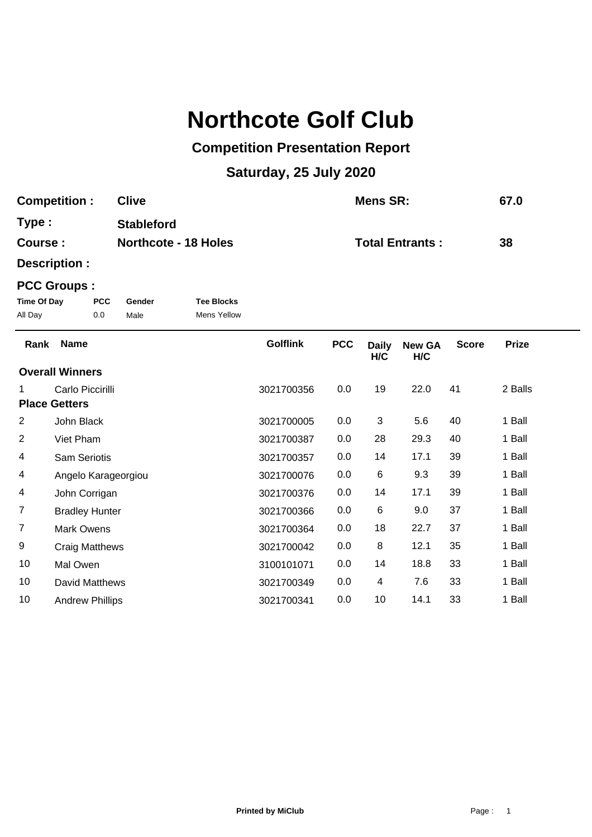# **Northcote Golf Club**

## **Competition Presentation Report**

# **Saturday, 25 July 2020**

| <b>Competition:</b> | <b>Clive</b>                | <b>Mens SR:</b>        | 67.0 |
|---------------------|-----------------------------|------------------------|------|
| Type:               | <b>Stableford</b>           |                        |      |
| <b>Course:</b>      | <b>Northcote - 18 Holes</b> | <b>Total Entrants:</b> | 38   |

**Description :**

### **PCC Groups :**

| Time Of Day | <b>PCC</b> | Gender | <b>Tee Blocks</b> |
|-------------|------------|--------|-------------------|
| All Day     | 0.0        | Male   | Mens Yellow       |

| Rank                   | <b>Name</b>            | <b>Golflink</b> | <b>PCC</b> | <b>Daily</b><br>H/C | <b>New GA</b><br>H/C | <b>Score</b> | <b>Prize</b> |
|------------------------|------------------------|-----------------|------------|---------------------|----------------------|--------------|--------------|
| <b>Overall Winners</b> |                        |                 |            |                     |                      |              |              |
| 1                      | Carlo Piccirilli       | 3021700356      | 0.0        | 19                  | 22.0                 | 41           | 2 Balls      |
| <b>Place Getters</b>   |                        |                 |            |                     |                      |              |              |
| $\overline{c}$         | John Black             | 3021700005      | 0.0        | 3                   | 5.6                  | 40           | 1 Ball       |
| $\overline{c}$         | Viet Pham              | 3021700387      | 0.0        | 28                  | 29.3                 | 40           | 1 Ball       |
| 4                      | <b>Sam Seriotis</b>    | 3021700357      | 0.0        | 14                  | 17.1                 | 39           | 1 Ball       |
| 4                      | Angelo Karageorgiou    | 3021700076      | 0.0        | 6                   | 9.3                  | 39           | 1 Ball       |
| 4                      | John Corrigan          | 3021700376      | 0.0        | 14                  | 17.1                 | 39           | 1 Ball       |
| $\overline{7}$         | <b>Bradley Hunter</b>  | 3021700366      | 0.0        | 6                   | 9.0                  | 37           | 1 Ball       |
| $\overline{7}$         | <b>Mark Owens</b>      | 3021700364      | 0.0        | 18                  | 22.7                 | 37           | 1 Ball       |
| 9                      | <b>Craig Matthews</b>  | 3021700042      | 0.0        | 8                   | 12.1                 | 35           | 1 Ball       |
| 10                     | Mal Owen               | 3100101071      | 0.0        | 14                  | 18.8                 | 33           | 1 Ball       |
| 10                     | David Matthews         | 3021700349      | 0.0        | 4                   | 7.6                  | 33           | 1 Ball       |
| 10                     | <b>Andrew Phillips</b> | 3021700341      | 0.0        | 10                  | 14.1                 | 33           | 1 Ball       |